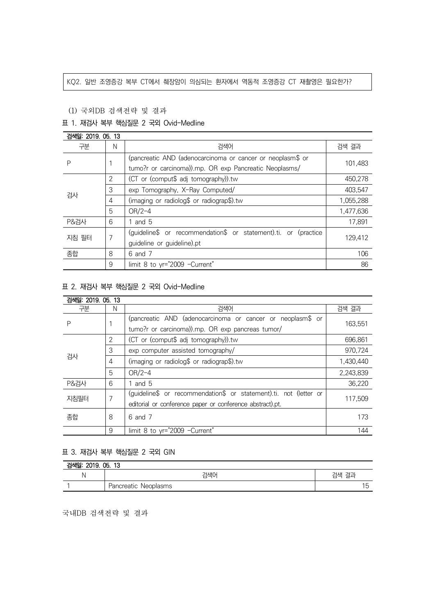#### KQ2. 일반 조영증강 복부 CT에서 췌장암이 의심되는 환자에서 역동적 조영증강 CT 재촬영은 필요한가?

### (1) 국외DB 검색전략 및 결과

# 표 1. 재검사 복부 핵심질문 2 국외 Ovid-Medline

| 검색일: 2019, 05, 13 |                |                                                                 |           |
|-------------------|----------------|-----------------------------------------------------------------|-----------|
| 구분                | N              | 검색어                                                             | 검색 결과     |
| Ρ                 |                | (pancreatic AND (adenocarcinoma or cancer or neoplasm\$ or      | 101,483   |
|                   |                | tumo?r or carcinoma)).mp. OR exp Pancreatic Neoplasms/          |           |
| 검사                | $\overline{2}$ | (CT or (comput\$ adj tomography)).tw                            | 450,278   |
|                   | 3              | exp Tomography, X-Ray Computed/                                 | 403,547   |
|                   | 4              | (imaging or radiolog\$ or radiograp\$).tw                       | 1,055,288 |
|                   | 5              | $OR/2-4$                                                        | 1,477,636 |
| <b>P&amp;검사</b>   | 6              | and 5                                                           | 17,891    |
| 지침 필터             | 7              | (guideline\$ or recommendation\$ or statement).ti. or (practice | 129,412   |
|                   |                | guideline or guideline).pt                                      |           |
| 종합                | 8              | 6 and 7                                                         | 106       |
|                   | 9              | limit 8 to yr="2009 -Current"                                   | 86        |

## 표 2. 재검사 복부 핵심질문 2 국외 Ovid-Medline

| 검색일: 2019. 05. 13 |   |                                                                   |           |
|-------------------|---|-------------------------------------------------------------------|-----------|
| 구분                | N | 검색어                                                               | 검색 결과     |
| Ρ                 |   | (pancreatic AND (adenocarcinoma or cancer or neoplasm\$ or        | 163,551   |
|                   |   | tumo?r or carcinoma)).mp. OR exp pancreas tumor/                  |           |
| 검사                | 2 | (CT or (comput\$ adj tomography)).tw                              | 696.861   |
|                   | 3 | exp computer assisted tomography/                                 | 970,724   |
|                   | 4 | (imaging or radiolog\$ or radiograp\$).tw                         | 1,430,440 |
|                   | 5 | $OR/2-4$                                                          | 2,243,839 |
| <b>P&amp;검사</b>   | 6 | 1 and 5                                                           | 36,220    |
| 지침필터              | 7 | (guideline\$ or recommendation\$ or statement).ti. not (letter or | 117.509   |
|                   |   | editorial or conference paper or conference abstract).pt.         |           |
| 종합                | 8 | 6 and 7                                                           | 173       |
|                   | 9 | limit 8 to yr="2009 -Current"                                     | 144       |

## 표 3. 재검사 복부 핵심질문 2 국외 GIN

| 검색일: 2019. 05. 13 |                      |                |  |  |
|-------------------|----------------------|----------------|--|--|
|                   | 걱색0-                 | 견규<br>검색<br>=- |  |  |
|                   | Pancreatic Neoplasms |                |  |  |

국내DB 검색전략 및 결과